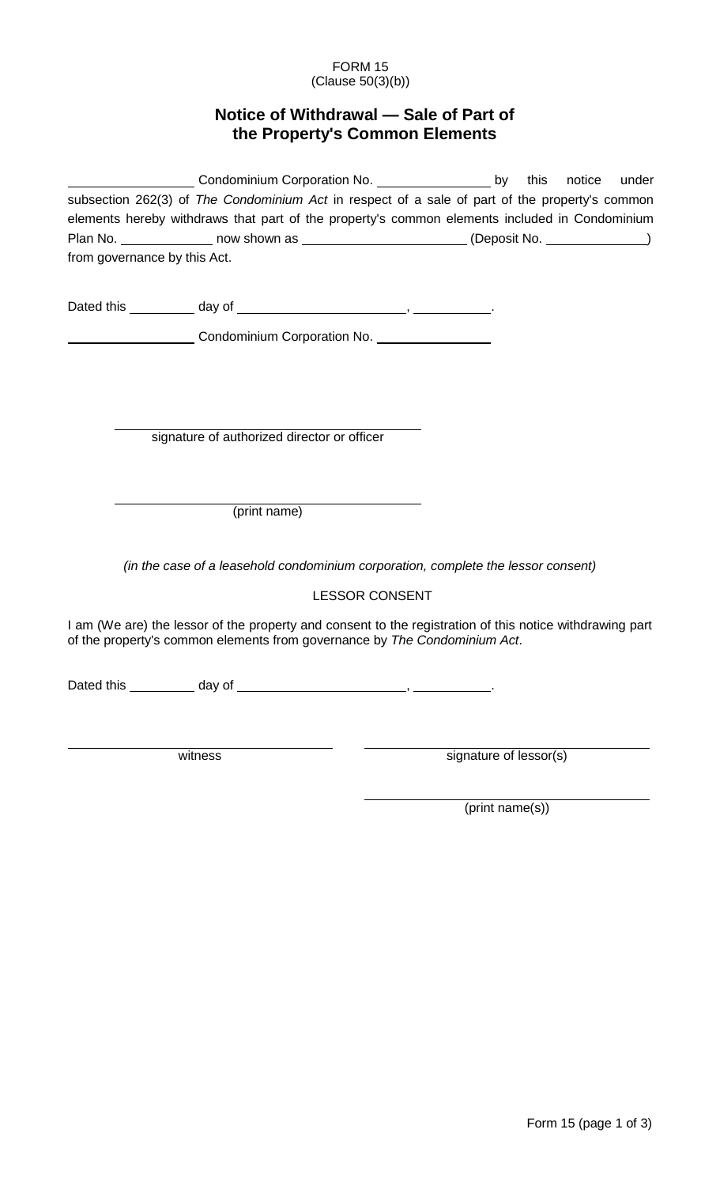## FORM 15 (Clause 50(3)(b))

## **Notice of Withdrawal — Sale of Part of the Property's Common Elements**

|                              | Condominium Corporation No. __________________________by this notice under                                                                                                            |                       |                        |  |
|------------------------------|---------------------------------------------------------------------------------------------------------------------------------------------------------------------------------------|-----------------------|------------------------|--|
|                              | subsection 262(3) of The Condominium Act in respect of a sale of part of the property's common                                                                                        |                       |                        |  |
|                              | elements hereby withdraws that part of the property's common elements included in Condominium                                                                                         |                       |                        |  |
|                              | Plan No. ________________ now shown as ________________________(Deposit No. ____________)                                                                                             |                       |                        |  |
| from governance by this Act. |                                                                                                                                                                                       |                       |                        |  |
|                              |                                                                                                                                                                                       |                       |                        |  |
|                              |                                                                                                                                                                                       |                       |                        |  |
|                              | Condominium Corporation No. 1994 1994                                                                                                                                                 |                       |                        |  |
|                              |                                                                                                                                                                                       |                       |                        |  |
|                              |                                                                                                                                                                                       |                       |                        |  |
|                              | signature of authorized director or officer                                                                                                                                           |                       |                        |  |
|                              |                                                                                                                                                                                       |                       |                        |  |
|                              | (print name)                                                                                                                                                                          |                       |                        |  |
|                              |                                                                                                                                                                                       |                       |                        |  |
|                              | (in the case of a leasehold condominium corporation, complete the lessor consent)                                                                                                     |                       |                        |  |
|                              |                                                                                                                                                                                       | <b>LESSOR CONSENT</b> |                        |  |
|                              | I am (We are) the lessor of the property and consent to the registration of this notice withdrawing part<br>of the property's common elements from governance by The Condominium Act. |                       |                        |  |
|                              |                                                                                                                                                                                       |                       |                        |  |
|                              |                                                                                                                                                                                       |                       |                        |  |
|                              | witness                                                                                                                                                                               |                       | signature of lessor(s) |  |
|                              |                                                                                                                                                                                       |                       |                        |  |

(print name(s))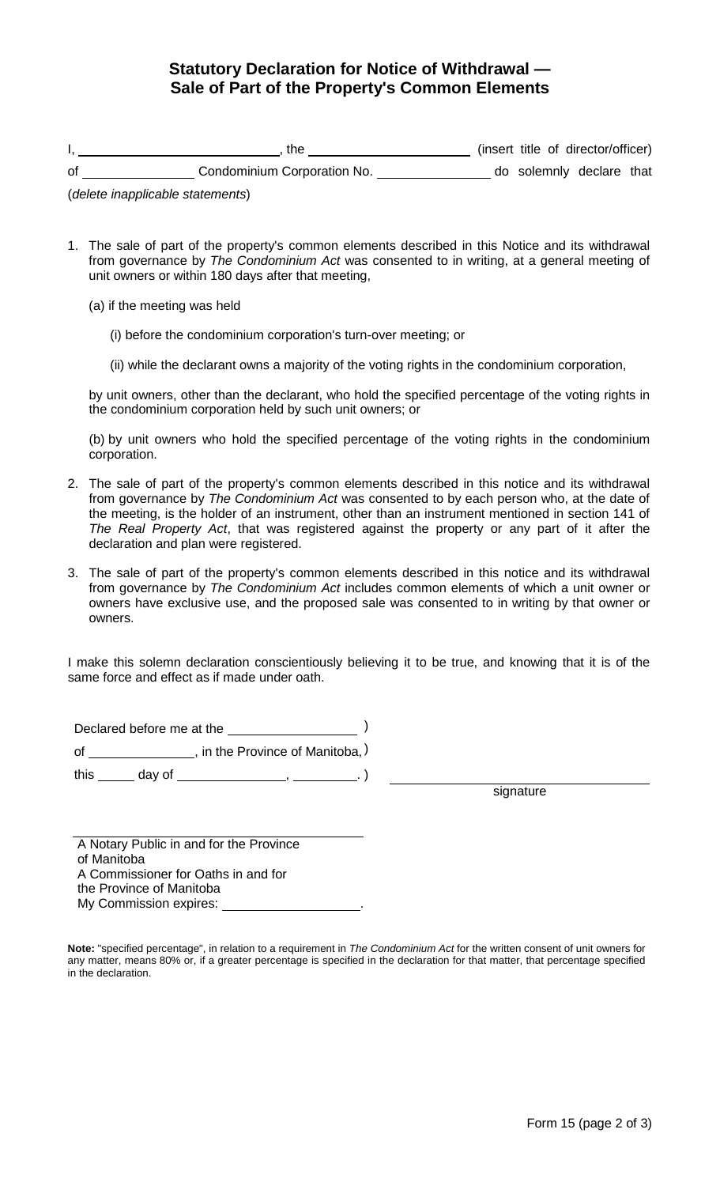## **Statutory Declaration for Notice of Withdrawal — Sale of Part of the Property's Common Elements**

|    | the                         |  | (insert title of director/officer) |  |
|----|-----------------------------|--|------------------------------------|--|
| of | Condominium Corporation No. |  | do solemnly declare that           |  |

(*delete inapplicable statements*)

- 1. The sale of part of the property's common elements described in this Notice and its withdrawal from governance by *The Condominium Act* was consented to in writing, at a general meeting of unit owners or within 180 days after that meeting,
	- (a) if the meeting was held
		- (i) before the condominium corporation's turn-over meeting; or
		- (ii) while the declarant owns a majority of the voting rights in the condominium corporation,

by unit owners, other than the declarant, who hold the specified percentage of the voting rights in the condominium corporation held by such unit owners; or

(b) by unit owners who hold the specified percentage of the voting rights in the condominium corporation.

- 2. The sale of part of the property's common elements described in this notice and its withdrawal from governance by *The Condominium Act* was consented to by each person who, at the date of the meeting, is the holder of an instrument, other than an instrument mentioned in section 141 of *The Real Property Act*, that was registered against the property or any part of it after the declaration and plan were registered.
- 3. The sale of part of the property's common elements described in this notice and its withdrawal from governance by *The Condominium Act* includes common elements of which a unit owner or owners have exclusive use, and the proposed sale was consented to in writing by that owner or owners.

I make this solemn declaration conscientiously believing it to be true, and knowing that it is of the same force and effect as if made under oath.

Declared before me at the )

of \_\_\_\_\_\_\_\_\_\_\_\_\_\_\_, in the Province of Manitoba, )

this \_\_\_\_\_\_ day of \_\_\_\_\_\_\_\_\_\_\_\_\_\_\_\_\_\_\_\_, \_\_\_\_\_\_\_\_\_\_.)

signature

A Notary Public in and for the Province of Manitoba A Commissioner for Oaths in and for the Province of Manitoba My Commission expires: \_

**Note:** "specified percentage", in relation to a requirement in *The Condominium Act* for the written consent of unit owners for any matter, means 80% or, if a greater percentage is specified in the declaration for that matter, that percentage specified in the declaration.